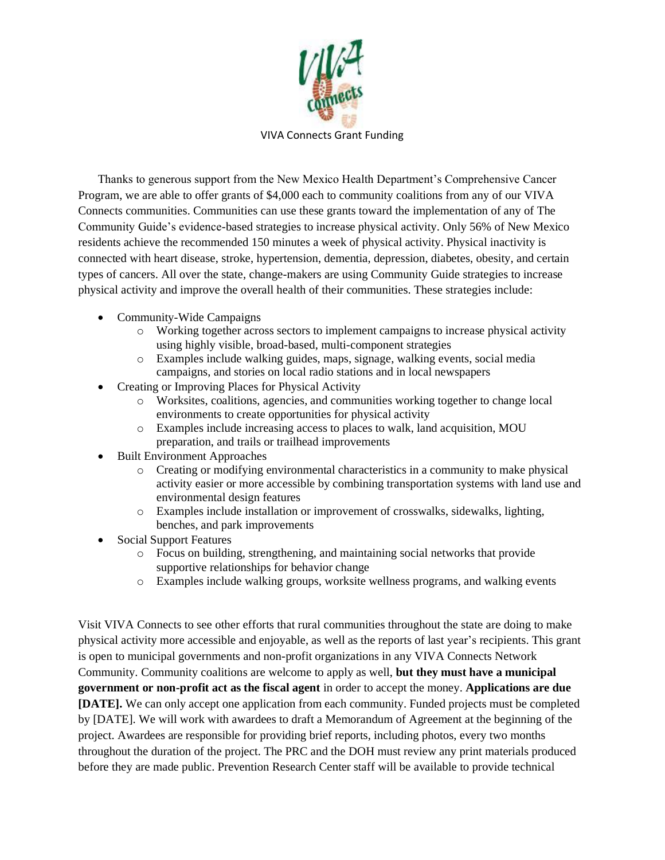

VIVA Connects Grant Funding

Thanks to generous support from the New Mexico Health Department's Comprehensive Cancer Program, we are able to offer grants of \$4,000 each to community coalitions from any of our VIVA Connects communities. Communities can use these grants toward the implementation of any of The Community Guide's evidence-based strategies to increase physical activity. Only 56% of New Mexico residents achieve the recommended 150 minutes a week of physical activity. Physical inactivity is connected with heart disease, stroke, hypertension, dementia, depression, diabetes, obesity, and certain types of cancers. All over the state, change-makers are using Community Guide strategies to increase physical activity and improve the overall health of their communities. These strategies include:

- Community-Wide Campaigns
	- o Working together across sectors to implement campaigns to increase physical activity using highly visible, broad-based, multi-component strategies
	- o Examples include walking guides, maps, signage, walking events, social media campaigns, and stories on local radio stations and in local newspapers
- Creating or Improving Places for Physical Activity
	- o Worksites, coalitions, agencies, and communities working together to change local environments to create opportunities for physical activity
	- o Examples include increasing access to places to walk, land acquisition, MOU preparation, and trails or trailhead improvements
- Built Environment Approaches
	- o Creating or modifying environmental characteristics in a community to make physical activity easier or more accessible by combining transportation systems with land use and environmental design features
	- o Examples include installation or improvement of crosswalks, sidewalks, lighting, benches, and park improvements
- Social Support Features
	- o Focus on building, strengthening, and maintaining social networks that provide supportive relationships for behavior change
	- o Examples include walking groups, worksite wellness programs, and walking events

Visit VIVA Connects to see other efforts that rural communities throughout the state are doing to make physical activity more accessible and enjoyable, as well as the reports of last year's recipients. This grant is open to municipal governments and non-profit organizations in any VIVA Connects Network Community. Community coalitions are welcome to apply as well, **but they must have a municipal government or non-profit act as the fiscal agent** in order to accept the money. **Applications are due [DATE].** We can only accept one application from each community. Funded projects must be completed by [DATE]. We will work with awardees to draft a Memorandum of Agreement at the beginning of the project. Awardees are responsible for providing brief reports, including photos, every two months throughout the duration of the project. The PRC and the DOH must review any print materials produced before they are made public. Prevention Research Center staff will be available to provide technical